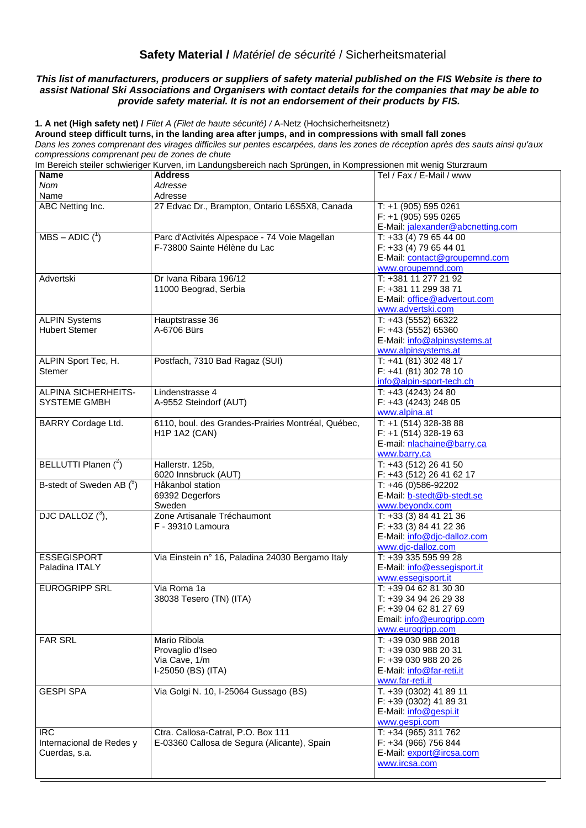# **Safety Material /** *Matériel de sécurité* / Sicherheitsmaterial

## *This list of manufacturers, producers or suppliers of safety material published on the FIS Website is there to assist National Ski Associations and Organisers with contact details for the companies that may be able to provide safety material. It is not an endorsement of their products by FIS.*

**1. A net (High safety net) /** *Filet A (Filet de haute sécurité) /* A-Netz (Hochsicherheitsnetz)

**Around steep difficult turns, in the landing area after jumps, and in compressions with small fall zones** *Dans les zones comprenant des virages difficiles sur pentes escarpées, dans les zones de réception après des sauts ainsi qu'aux compressions comprenant peu de zones de chute*

Im Bereich steiler schwieriger Kurven, im Landungsbereich nach Sprüngen, in Kompressionen mit wenig Sturzraum

**Name** *Nom* Name **Address** *Adresse* Adresse Tel / Fax / E-Mail / www ABC Netting Inc. 27 Edvac Dr., Brampton, Ontario L6S5X8, Canada T: +1 (905) 595 0261 F: +1 (905) 595 0265 E-Mail: [jalexander@abcnetting.com](mailto:jalexander@abcnetting.com)  $MBS - ADIC$  ( $^1$ ) Parc d'Activités Alpespace - 74 Voie Magellan F-73800 Sainte Hélène du Lac T: +33 (4) 79 65 44 00 F: +33 (4) 79 65 44 01 E-Mail: [contact@groupemnd.com](mailto:contact@groupemnd.com) [www.groupemnd.com](http://www.groupemnd.com/) Advertski Dr Ivana Ribara 196/12 11000 Beograd, Serbia T: +381 11 277 21 92 F: +381 11 299 38 71 E-Mail: [office@advertout.com](mailto:office@advertout.com) www.advertski.com ALPIN Systems Hubert Stemer Hauptstrasse 36 A-6706 Bürs T: +43 (5552) 66322 F: +43 (5552) 65360 E-Mail: [info@alpinsystems.at](mailto:info@alpinsystems.at) [www.alpinsystems.at](http://www.alpinsystems.at/) ALPIN Sport Tec, H. Stemer Postfach, 7310 Bad Ragaz (SUI) T: +41 (81) 302 48 17 F: +41 (81) 302 78 10 [info@alpin-sport-tech.ch](mailto:info@alpin-sport-tech.ch) ALPINA SICHERHEITS-SYSTEME GMBH Lindenstrasse 4 A-9552 Steindorf (AUT) T: +43 (4243) 24 80 F: +43 (4243) 248 05 [www.alpina.at](http://www.alpina.at/) BARRY Cordage Ltd. 6110, boul. des Grandes-Prairies Montréal, Québec, H1P 1A2 (CAN) T: +1 (514) 328-38 88 F: +1 (514) 328-19 63 E-mail: [nlachaine@barry.ca](mailto:nlachaine@barry.ca) [www.barry.ca](http://www.barry.ca/) BELLUTTI Planen  $(^2)$ Hallerstr, 125b, 6020 Innsbruck (AUT) T: +43 (512) 26 41 50 F: +43 (512) 26 41 62 17 B-stedt of Sweden AB  $(^9)$ Håkanbol station 69392 Degerfors Sweden  $T: +46(0)586 - 92202$ E-Mail: [b-stedt@b-stedt.se](mailto:b-stedt@b-stedt.se) [www.beyondx.com](www.beyondx.com%20) DJC DALLOZ $(^3)$ , Zone Artisanale Tréchaumont F - 39310 Lamoura T: +33 (3) 84 41 21 36 F: +33 (3) 84 41 22 36 E-Mail: [info@djc-dalloz.com](mailto:info@djc-dalloz.com) [www.djc-dalloz.com](http://www.djc-dalloz.com/)<br>T: +39 335 595 99 28 **ESSEGISPORT** Paladina ITALY Via Einstein n° 16, Paladina 24030 Bergamo Italy E-Mail: [info@essegisport.it](mailto:info@essegisport.it) [www.essegisport.it](http://www.essegisport.it/) EUROGRIPP SRL Via Roma 1a 38038 Tesero (TN) (ITA) T: +39 04 62 81 30 30 T: +39 34 94 26 29 38 F: +39 04 62 81 27 69 Email: [info@eurogripp.com](mailto:info@eurogripp.com) [www.eurogripp.com](http://www.eurogripp.com/) FAR SRL Mario Ribola Provaglio d'Iseo Via Cave, 1/m I-25050 (BS) (ITA) T: +39 030 988 2018 T: +39 030 988 20 31 F: +39 030 988 20 26 E-Mail: [info@far-reti.it](mailto:info@far-reti.it) [www.far-reti.it](http://www.far-reti.it/) GESPI SPA Via Golgi N. 10, I-25064 Gussago (BS) T. +39 (0302) 41 89 11 F: +39 (0302) 41 89 31 E-Mail: [info@gespi.it](mailto:info@gespi.it) [www.gespi.com](http://www.gespi.com/) IRC Internacional de Redes y Cuerdas, s.a. Ctra. Callosa-Catral, P.O. Box 111 E-03360 Callosa de Segura (Alicante), Spain T: +34 (965) 311 762 F: +34 (966) 756 844 E-Mail: [export@ircsa.com](mailto:export@ircsa.com) [www.ircsa.com](http://www.ircsa.com/)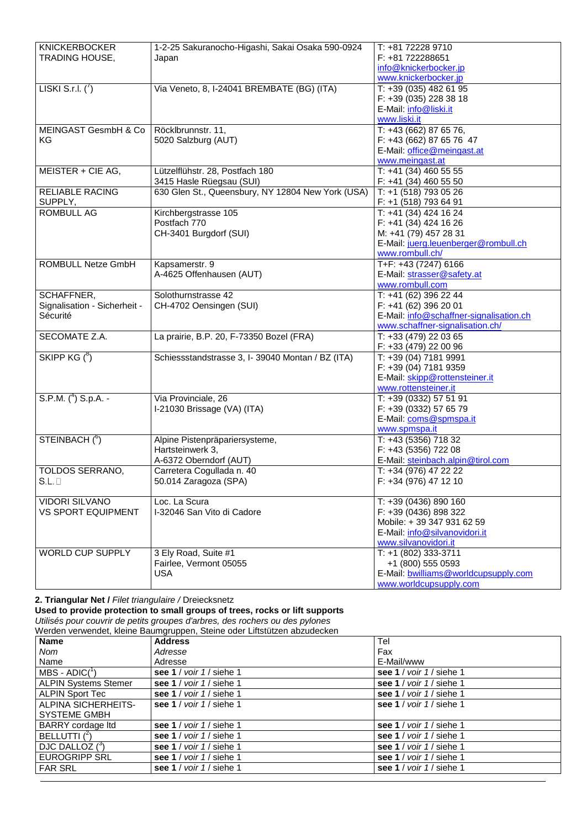| <b>KNICKERBOCKER</b>         | 1-2-25 Sakuranocho-Higashi, Sakai Osaka 590-0924  | T: +81 72228 9710                       |
|------------------------------|---------------------------------------------------|-----------------------------------------|
| TRADING HOUSE,               | Japan                                             | F: +81 722288651                        |
|                              |                                                   | info@knickerbocker.jp                   |
|                              |                                                   | www.knickerbocker.jp                    |
| LISKI S.r.l. $\binom{7}{1}$  | Via Veneto, 8, I-24041 BREMBATE (BG) (ITA)        | T: +39 (035) 482 61 95                  |
|                              |                                                   |                                         |
|                              |                                                   | F: +39 (035) 228 38 18                  |
|                              |                                                   | E-Mail: info@liski.it                   |
|                              |                                                   | www.liski.it                            |
| MEINGAST GesmbH & Co         | Röcklbrunnstr. 11,                                | T: +43 (662) 87 65 76,                  |
| KG.                          | 5020 Salzburg (AUT)                               | F: +43 (662) 87 65 76 47                |
|                              |                                                   | E-Mail: office@meingast.at              |
|                              |                                                   | www.meingast.at                         |
| MEISTER + CIE AG,            | Lützelflühstr. 28, Postfach 180                   | T: +41 (34) 460 55 55                   |
|                              | 3415 Hasle Rüegsau (SUI)                          | $F: +41$ (34) 460 55 50                 |
|                              |                                                   |                                         |
| <b>RELIABLE RACING</b>       | 630 Glen St., Queensbury, NY 12804 New York (USA) | T: +1 (518) 793 05 26                   |
| SUPPLY,                      |                                                   | F: +1 (518) 793 64 91                   |
| <b>ROMBULL AG</b>            | Kirchbergstrasse 105                              | T: +41 (34) 424 16 24                   |
|                              | Postfach 770                                      | F: +41 (34) 424 16 26                   |
|                              | CH-3401 Burgdorf (SUI)                            | M: +41 (79) 457 28 31                   |
|                              |                                                   | E-Mail: juerg.leuenberger@rombull.ch    |
|                              |                                                   | www.rombull.ch/                         |
| ROMBULL Netze GmbH           | Kapsamerstr. 9                                    | T+F: +43 (7247) 6166                    |
|                              | A-4625 Offenhausen (AUT)                          | E-Mail: strasser@safety.at              |
|                              |                                                   | www.rombull.com                         |
|                              |                                                   |                                         |
| SCHAFFNER,                   | Solothurnstrasse 42                               | T: +41 (62) 396 22 44                   |
| Signalisation - Sicherheit - | CH-4702 Oensingen (SUI)                           | F: +41 (62) 396 20 01                   |
| Sécurité                     |                                                   | E-Mail: info@schaffner-signalisation.ch |
|                              |                                                   | www.schaffner-signalisation.ch/         |
| SECOMATE Z.A.                | La prairie, B.P. 20, F-73350 Bozel (FRA)          | T: +33 (479) 22 03 65                   |
|                              |                                                   | F: +33 (479) 22 00 96                   |
| SKIPP $KG(^{8})$             | Schiessstandstrasse 3, I-39040 Montan / BZ (ITA)  | T: +39 (04) 7181 9991                   |
|                              |                                                   | F: +39 (04) 7181 9359                   |
|                              |                                                   |                                         |
|                              |                                                   | E-Mail: skipp@rottensteiner.it          |
|                              |                                                   | www.rottensteiner.it                    |
| S.P.M. $({}^{4})$ S.p.A. -   | Via Provinciale, 26                               | T: +39 (0332) 57 51 91                  |
|                              | I-21030 Brissage (VA) (ITA)                       | F: +39 (0332) 57 65 79                  |
|                              |                                                   | E-Mail: coms@spmspa.it                  |
|                              |                                                   | www.spmspa.it                           |
| STEINBACH ( <sup>6</sup> )   | Alpine Pistenpräpariersysteme,                    | T: +43 (5356) 718 32                    |
|                              | Hartsteinwerk 3,                                  | F: +43 (5356) 722 08                    |
|                              | A-6372 Oberndorf (AUT)                            | E-Mail: steinbach.alpin@tirol.com       |
| <b>TOLDOS SERRANO.</b>       | Carretera Cogullada n. 40                         | T: +34 (976) 47 22 22                   |
|                              |                                                   |                                         |
| $S.L. \Box$                  | 50.014 Zaragoza (SPA)                             | F: +34 (976) 47 12 10                   |
|                              |                                                   |                                         |
| <b>VIDORI SILVANO</b>        | Loc. La Scura                                     | T: +39 (0436) 890 160                   |
| VS SPORT EQUIPMENT           | I-32046 San Vito di Cadore                        | F: +39 (0436) 898 322                   |
|                              |                                                   | Mobile: +39 347 931 62 59               |
|                              |                                                   | E-Mail: info@silvanovidori.it           |
|                              |                                                   | www.silvanovidori.it                    |
| <b>WORLD CUP SUPPLY</b>      | 3 Ely Road, Suite #1                              | T: +1 (802) 333-3711                    |
|                              | Fairlee, Vermont 05055                            | +1 (800) 555 0593                       |
|                              |                                                   |                                         |
|                              | USA                                               | E-Mail: bwilliams@worldcupsupply.com    |
|                              |                                                   | www.worldcupsupply.com                  |

**2. Triangular Net /** *Filet triangulaire /* Dreiecksnetz

**Used to provide protection to small groups of trees, rocks or lift supports** *Utilisés pour couvrir de petits groupes d'arbres, des rochers ou des pylones* Werden verwendet, kleine Baumgruppen, Steine oder Liftstützen abzudecken

| <b>Name</b>                 | <b>Address</b>                            | Tel                      |
|-----------------------------|-------------------------------------------|--------------------------|
| Nom                         | Adresse                                   | Fax                      |
| Name                        | Adresse                                   | E-Mail/www               |
| $MBS - ADIC(^1)$            | see 1 / voir 1 / siehe 1                  | see 1 / voir 1 / siehe 1 |
| <b>ALPIN Systems Stemer</b> | see 1 / voir 1 / siehe 1                  | see 1 / voir 1 / siehe 1 |
| <b>ALPIN Sport Tec</b>      | see 1 / voir 1 / siehe 1                  | see 1 / voir 1 / siehe 1 |
| ALPINA SICHERHEITS-         | see 1 / $\frac{\text{voir}}{1}$ / siehe 1 | see 1 / voir 1 / siehe 1 |
| <b>SYSTEME GMBH</b>         |                                           |                          |
| <b>BARRY</b> cordage ltd    | see 1 / voir 1 / siehe 1                  | see 1 / voir 1 / siehe 1 |
| BELLUTTI (2)                | see 1 / voir 1 / siehe 1                  | see 1 / voir 1 / siehe 1 |
| DJC DALLOZ $(^{3})$         | see 1 / voir 1 / siehe 1                  | see 1 / voir 1 / siehe 1 |
| <b>EUROGRIPP SRL</b>        | see 1 / voir 1 / siehe 1                  | see 1 / voir 1 / siehe 1 |
| <b>FAR SRL</b>              | see 1 / voir 1 / siehe 1                  | see 1 / voir 1 / siehe 1 |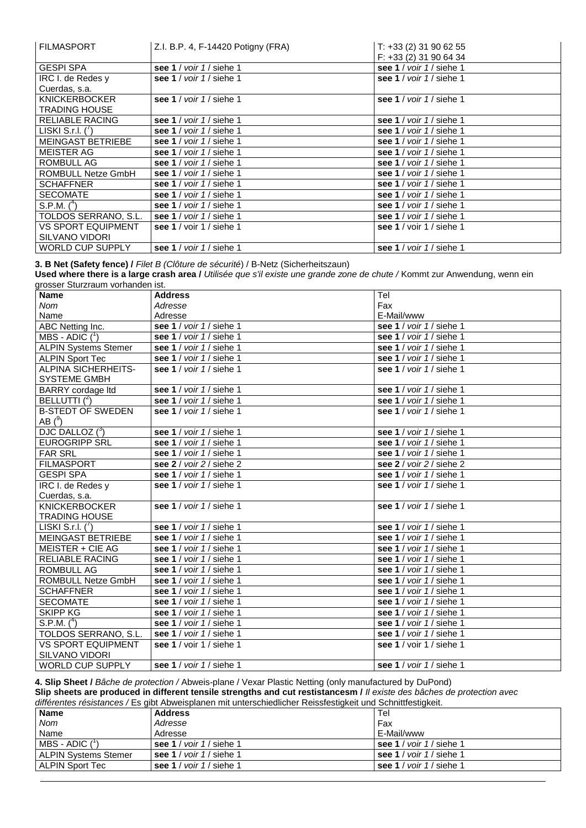| <b>FILMASPORT</b>         | Z.I. B.P. 4, F-14420 Potigny (FRA)               | $T: +33(2)31906255$<br>$F: +33(2)31906434$ |
|---------------------------|--------------------------------------------------|--------------------------------------------|
| <b>GESPI SPA</b>          | see 1 / $\frac{\text{voir}}{1}$ siehe 1          | see 1 / voir 1 / siehe 1                   |
| IRC I. de Redes y         | see 1 / $\frac{\text{voir}}{\text{1}}$ / siehe 1 | see 1 / voir 1 / siehe 1                   |
| Cuerdas, s.a.             |                                                  |                                            |
| <b>KNICKERBOCKER</b>      | see 1 / $\frac{\text{voir}}{\text{1}}$ / siehe 1 | see 1 / voir 1 / siehe 1                   |
| <b>TRADING HOUSE</b>      |                                                  |                                            |
| <b>RELIABLE RACING</b>    | see 1 / voir 1 / siehe 1                         | see 1 / voir 1 / siehe 1                   |
| LISKI S.r.l. $(')$        | see 1 / $\frac{\text{voir}}{1}$ siehe 1          | see 1 / voir 1 / siehe 1                   |
| <b>MEINGAST BETRIEBE</b>  | see 1 / voir 1 / siehe 1                         | see 1 / voir 1 / siehe 1                   |
| <b>MEISTER AG</b>         | see 1 / voir 1 / siehe 1                         | see 1 / voir 1 / siehe 1                   |
| ROMBULL AG                | see 1 / voir 1 / siehe 1                         | see 1 / voir 1 / siehe 1                   |
| ROMBULL Netze GmbH        | see 1 / $\frac{\text{voir}}{1}$ siehe 1          | see 1 / voir 1 / siehe 1                   |
| <b>SCHAFFNER</b>          | see 1 / $\frac{\text{voir}}{1}$ siehe 1          | see 1 / voir 1 / siehe 1                   |
| <b>SECOMATE</b>           | see 1 / voir 1 / siehe 1                         | see 1 / voir 1 / siehe 1                   |
| $S.P.M.$ $(^4)$           | see 1 / voir 1 / siehe 1                         | see 1 / voir 1 / siehe 1                   |
| TOLDOS SERRANO, S.L.      | see 1 / voir 1 / siehe 1                         | see 1 / voir 1 / siehe 1                   |
| <b>VS SPORT EQUIPMENT</b> | see 1 / voir 1 / siehe 1                         | see $1$ / voir $1$ / siehe 1               |
| <b>SILVANO VIDORI</b>     |                                                  |                                            |
| <b>WORLD CUP SUPPLY</b>   | see 1 / voir 1 / siehe 1                         | see 1 / voir 1 / siehe 1                   |

**3. B Net (Safety fence) /** *Filet B (Clôture de sécurité*) / B-Netz (Sicherheitszaun)

**Used where there is a large crash area /** *Utilisée que s'il existe une grande zone de chute /* Kommt zur Anwendung, wenn ein grosser Sturzraum vorhanden ist.

| <b>Name</b>                 | <b>Address</b>                            | Tel                            |
|-----------------------------|-------------------------------------------|--------------------------------|
| <b>Nom</b>                  | Adresse                                   | Fax                            |
| Name                        | Adresse                                   | E-Mail/www                     |
| ABC Netting Inc.            | see 1 / voir 1 / siehe 1                  | see 1 / voir 1 / siehe 1       |
| MBS - ADIC $(^1)$           | see 1 / voir 1 / siehe 1                  | see 1 / voir 1 / siehe 1       |
| <b>ALPIN Systems Stemer</b> | see 1 / voir 1 / siehe 1                  | see 1 / voir 1 / siehe 1       |
| <b>ALPIN Sport Tec</b>      | see 1 / voir 1 / siehe 1                  | see 1 / voir 1 / siehe 1       |
| ALPINA SICHERHEITS-         | see 1 / voir 1 / siehe 1                  | see 1 / voir 1 / siehe 1       |
| <b>SYSTEME GMBH</b>         |                                           |                                |
| <b>BARRY</b> cordage ltd    | see 1 / voir 1 / siehe 1                  | see 1 / voir 1 / siehe 1       |
| BELLUTTI $(^2)$             | see 1 / voir 1 / siehe 1                  | see 1 / voir 1 / siehe 1       |
| <b>B-STEDT OF SWEDEN</b>    | see 1 / voir 1 / siehe 1                  | see 1 / voir 1 / siehe 1       |
| AB $(^{9})$                 |                                           |                                |
| DJC DALLOZ $(^3)$           | see 1 / voir 1 / siehe 1                  | see 1 / voir 1 / siehe 1       |
| <b>EUROGRIPP SRL</b>        | see 1 / voir 1 / siehe 1                  | see 1 / voir 1 / siehe 1       |
| <b>FAR SRL</b>              | see 1 / $\frac{\text{voir}}{1}$ siehe 1   | see 1 / voir 1 / siehe 1       |
| <b>FILMASPORT</b>           | see $2 /$ voir $2 /$ siehe $2$            | see $2 /$ voir $2 /$ siehe $2$ |
| <b>GESPI SPA</b>            | see 1 / $\frac{\text{voir}}{1}$ / siehe 1 | see 1 / voir 1 / siehe 1       |
| <b>IRC I. de Redes y</b>    | see 1 / voir 1 / siehe 1                  | see 1 / voir 1 / siehe 1       |
| Cuerdas, s.a.               |                                           |                                |
| <b>KNICKERBOCKER</b>        | see 1 / voir 1 / siehe 1                  | see 1 / voir 1 / siehe 1       |
| <b>TRADING HOUSE</b>        |                                           |                                |
| LISKI S.r.I. $(')$          | see 1 / voir 1 / siehe 1                  | see 1 / voir 1 / siehe 1       |
| <b>MEINGAST BETRIEBE</b>    | see 1 / voir 1 / siehe 1                  | see 1 / voir 1 / siehe 1       |
| MEISTER + CIE AG            | see 1 / voir 1 / siehe 1                  | see 1 / voir 1 / siehe 1       |
| <b>RELIABLE RACING</b>      | see 1 / voir 1 / siehe 1                  | see 1 / voir 1 / siehe 1       |
| <b>ROMBULL AG</b>           | see 1 / voir 1 / siehe 1                  | see 1 / voir 1 / siehe 1       |
| <b>ROMBULL Netze GmbH</b>   | see 1 / voir 1 / siehe 1                  | see 1 / voir 1 / siehe 1       |
| <b>SCHAFFNER</b>            | see 1 / voir 1 / siehe 1                  | see 1 / voir 1 / siehe 1       |
| <b>SECOMATE</b>             | see 1 / voir 1 / siehe 1                  | see 1 / voir 1 / siehe 1       |
| <b>SKIPP KG</b>             | see 1 / voir 1 / siehe 1                  | see 1 / voir 1 / siehe 1       |
| S.P.M. $(^4)$               | see 1 / voir 1 / siehe 1                  | see 1 / voir 1 / siehe 1       |
| TOLDOS SERRANO, S.L.        | see 1 / voir 1 / siehe 1                  | see 1 / voir 1 / siehe 1       |
| <b>VS SPORT EQUIPMENT</b>   | see 1 / voir 1 / siehe 1                  | see 1 / voir 1 / siehe 1       |
| <b>SILVANO VIDORI</b>       |                                           |                                |
| <b>WORLD CUP SUPPLY</b>     | see 1 / $\frac{\text{voir}}{1}$ siehe 1   | see 1 / voir 1 / siehe 1       |

**4. Slip Sheet /** *Bâche de protection /* Abweis-plane / Vexar Plastic Netting (only manufactured by DuPond)

**Slip sheets are produced in different tensile strengths and cut restistancesm /** *Il existe des bâches de protection avec différentes résistances /* Es gibt Abweisplanen mit unterschiedlicher Reissfestigkeit und Schnittfestigkeit.

| <b>Name</b>                 | amondinos regionarioco / Eo gibt / ibweigpianen mit amongomeanonen regionegienen and Ochimiticotiqient.<br><b>Address</b> | Tel                                              |
|-----------------------------|---------------------------------------------------------------------------------------------------------------------------|--------------------------------------------------|
| Nom                         | Adresse                                                                                                                   | Fax                                              |
| Name                        | Adresse                                                                                                                   | E-Mail/www                                       |
| MBS - ADIC $(^{1}$          | see 1 / voir 1 / siehe 1                                                                                                  | see 1 / $\frac{1}{3}$ voir 1 / siehe 1           |
| <b>ALPIN Systems Stemer</b> | see 1 / $\frac{\text{voir}}{1}$ siehe 1                                                                                   | see 1 / $\frac{\text{voir}}{\text{1}}$ / siehe 1 |
| ALPIN Sport Tec             | see 1 / $\frac{\text{voir}}{1}$ siehe 1                                                                                   | see 1 / voir 1 / siehe 1                         |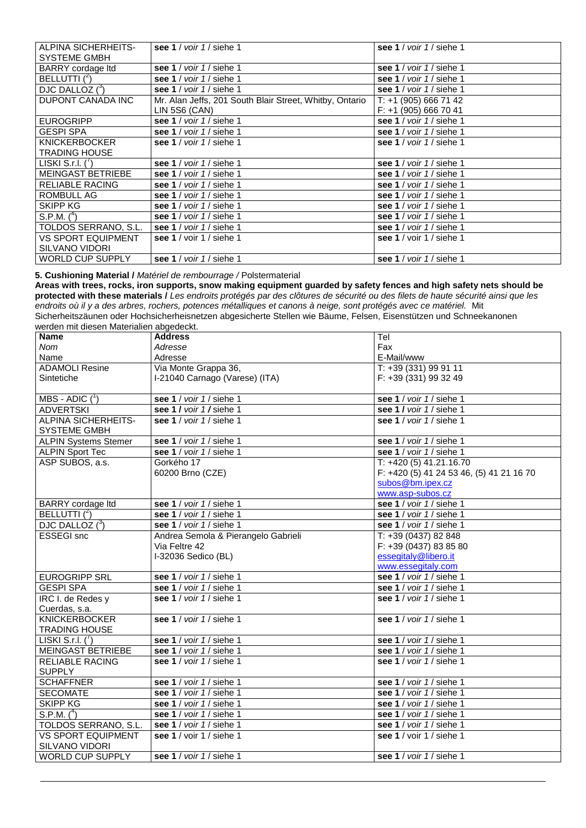| ALPINA SICHERHEITS-         | see 1 / $\frac{\text{voir}}{\text{1}}$ / siehe 1        | see 1 / $\frac{\text{voir}}{1}$ siehe 1 |
|-----------------------------|---------------------------------------------------------|-----------------------------------------|
| <b>SYSTEME GMBH</b>         |                                                         |                                         |
| <b>BARRY</b> cordage ltd    | see 1 / voir 1 / siehe 1                                | see 1 / voir 1 / siehe 1                |
| BELLUTTI $(^2)$             | see 1 / voir 1 / siehe 1                                | see 1 / voir 1 / siehe 1                |
| DJC DALLOZ ( <sup>3</sup> ) | see 1 / voir 1 / siehe 1                                | see 1 / voir 1 / siehe 1                |
| <b>DUPONT CANADA INC</b>    | Mr. Alan Jeffs, 201 South Blair Street, Whitby, Ontario | $T: +1$ (905) 666 71 42                 |
|                             | LIN 5S6 (CAN)                                           | $F: +1$ (905) 666 70 41                 |
| <b>EUROGRIPP</b>            | see 1 / voir 1 / siehe 1                                | see 1 / voir 1 / siehe 1                |
| <b>GESPI SPA</b>            | see 1 / voir 1 / siehe 1                                | see 1 / voir 1 / siehe 1                |
| <b>KNICKERBOCKER</b>        | see 1 / voir 1 / siehe 1                                | see 1 / voir 1 / siehe 1                |
| <b>TRADING HOUSE</b>        |                                                         |                                         |
| LISKI S.r.l. $(')$          | see 1 / voir 1 / siehe 1                                | see 1 / voir 1 / siehe 1                |
| <b>MEINGAST BETRIEBE</b>    | see 1 / $\frac{\text{voir}}{1}$ siehe 1                 | see 1 / voir 1 / siehe 1                |
| <b>RELIABLE RACING</b>      | see 1 / $\frac{\text{voir}}{\text{1}}$ siehe 1          | see 1 / voir 1 / siehe 1                |
| ROMBULL AG                  | see 1 / voir 1 / siehe 1                                | see 1 / voir 1 / siehe 1                |
| <b>SKIPP KG</b>             | see 1 / voir 1 / siehe 1                                | see 1 / voir 1 / siehe 1                |
| S.P.M. $(^4)$               | see 1 / $\frac{\text{voir}}{1}$ siehe 1                 | see 1 / voir 1 / siehe 1                |
| TOLDOS SERRANO, S.L.        | see 1 / voir 1 / siehe 1                                | see 1 / voir 1 / siehe 1                |
| <b>VS SPORT EQUIPMENT</b>   | see $1$ / voir $1$ / siehe 1                            | see $1$ / voir $1$ / siehe 1            |
| <b>SILVANO VIDORI</b>       |                                                         |                                         |
| <b>WORLD CUP SUPPLY</b>     | see 1 / voir 1 / siehe 1                                | see 1 / $\frac{\text{voir}}{1}$ siehe 1 |

**5. Cushioning Material /** *Matériel de rembourrage /* Polstermaterial

**Areas with trees, rocks, iron supports, snow making equipment guarded by safety fences and high safety nets should be protected with these materials /** *Les endroits protégés par des clôtures de sécurité ou des filets de haute sécurité ainsi que les endroits où il y a des arbres, rochers, potences métalliques et canons à neige, sont protégés avec ce matériel.* Mit Sicherheitszäunen oder Hochsicherheisnetzen abgesicherte Stellen wie Bäume, Felsen, Eisenstützen und Schneekanonen werden mit diesen Materialien abgedeckt.

| , or aon nin, arooon, matorialion abgoaoont. |                                     |                                          |
|----------------------------------------------|-------------------------------------|------------------------------------------|
| <b>Name</b>                                  | <b>Address</b>                      | Tel                                      |
| Nom                                          | Adresse                             | Fax                                      |
| Name                                         | Adresse                             | E-Mail/www                               |
| <b>ADAMOLI Resine</b>                        | Via Monte Grappa 36,                | T: +39 (331) 99 91 11                    |
| Sintetiche                                   | I-21040 Carnago (Varese) (ITA)      | F: +39 (331) 99 32 49                    |
|                                              |                                     |                                          |
| MBS - ADIC $(1)$                             | see 1 / voir 1 / siehe 1            | see 1 / voir 1 / siehe 1                 |
| <b>ADVERTSKI</b>                             | see 1 / voir 1 / siehe 1            | see 1 / voir 1 / siehe 1                 |
| ALPINA SICHERHEITS-                          | see 1 / voir 1 / siehe 1            | see 1 / voir 1 / siehe 1                 |
| SYSTEME GMBH                                 |                                     |                                          |
| <b>ALPIN Systems Stemer</b>                  | see 1 / voir 1 / siehe 1            | see 1 / voir 1 / siehe 1                 |
| <b>ALPIN Sport Tec</b>                       | see 1 / voir 1 / siehe 1            | see 1 / voir 1 / siehe 1                 |
| ASP SUBOS, a.s.                              | Gorkého 17                          | T: +420 (5) 41.21.16.70                  |
|                                              | 60200 Brno (CZE)                    | F: +420 (5) 41 24 53 46, (5) 41 21 16 70 |
|                                              |                                     | subos@bm.ipex.cz                         |
|                                              |                                     | www.asp-subos.cz                         |
| BARRY cordage Itd                            | see 1 / voir 1 / siehe 1            | see 1 / voir 1 / siehe 1                 |
| BELLUTTI $(^2)$                              | see 1 / voir 1 / siehe 1            | see 1 / voir 1 / siehe 1                 |
| DJC DALLOZ $(^{3})$                          | see 1 / voir 1 / siehe 1            | see 1 / voir 1 / siehe 1                 |
| <b>ESSEGI</b> snc                            | Andrea Semola & Pierangelo Gabrieli | T: +39 (0437) 82 848                     |
|                                              | Via Feltre 42                       | F: +39 (0437) 83 85 80                   |
|                                              | I-32036 Sedico (BL)                 | essegitaly@libero.it                     |
|                                              |                                     | www.essegitaly.com                       |
| <b>EUROGRIPP SRL</b>                         | see 1 / voir 1 / siehe 1            | see 1 / voir 1 / siehe 1                 |
| <b>GESPI SPA</b>                             | see 1 / voir 1 / siehe 1            | see 1 / voir 1 / siehe 1                 |
| IRC I. de Redes y                            | see 1 / voir 1 / siehe 1            | see 1 / voir 1 / siehe 1                 |
| Cuerdas, s.a.                                |                                     |                                          |
| <b>KNICKERBOCKER</b>                         | see 1 / voir 1 / siehe 1            | see 1 / voir 1 / siehe 1                 |
| <b>TRADING HOUSE</b>                         |                                     |                                          |
| LISKI S.r.l. $\binom{7}{1}$                  | see 1 / voir 1 / siehe 1            | see 1 / voir 1 / siehe 1                 |
| <b>MEINGAST BETRIEBE</b>                     | see 1 / voir 1 / siehe 1            | see 1 / voir 1 / siehe 1                 |
| <b>RELIABLE RACING</b>                       | see 1 / voir 1 / siehe 1            | see 1 / voir 1 / siehe 1                 |
| <b>SUPPLY</b>                                |                                     |                                          |
| <b>SCHAFFNER</b>                             | see 1 / voir 1 / siehe 1            | see 1 / voir 1 / siehe 1                 |
| <b>SECOMATE</b>                              | see 1 / voir 1 / siehe 1            | see 1 / voir 1 / siehe 1                 |
| <b>SKIPP KG</b>                              | see 1 / voir 1 / siehe 1            | see 1 / voir 1 / siehe 1                 |
| S.P.M. $(^{4})$                              | see 1 / voir 1 / siehe 1            | see 1 / voir 1 / siehe 1                 |
| TOLDOS SERRANO, S.L.                         | see 1 / voir 1 / siehe 1            | see 1 / voir 1 / siehe 1                 |
| <b>VS SPORT EQUIPMENT</b>                    | see 1 / voir 1 / siehe 1            | see 1 / voir 1 / siehe 1                 |
| <b>SILVANO VIDORI</b>                        |                                     |                                          |
| WORLD CUP SUPPLY                             | see 1 / voir 1 / siehe 1            | see 1 / voir 1 / siehe 1                 |
|                                              |                                     |                                          |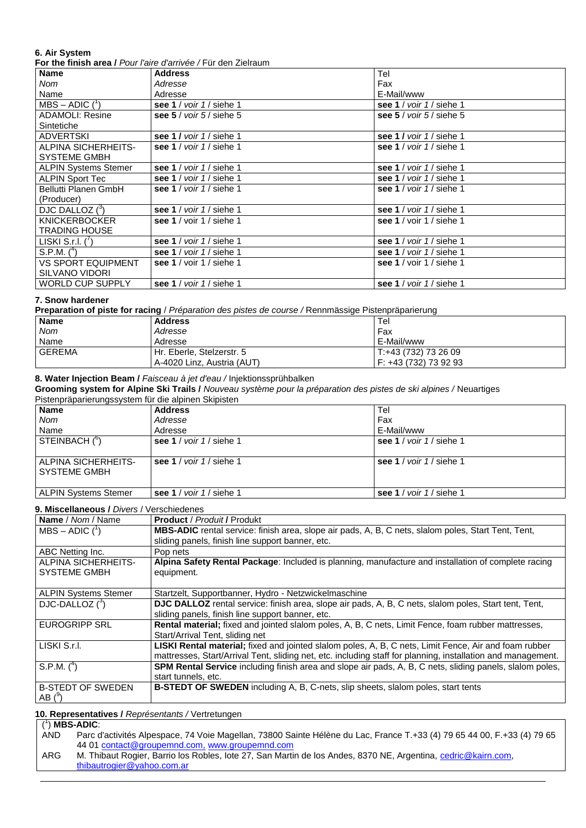## **6. Air System**

**For the finish area /** *Pour l'aire d'arrivée /* Für den Zielraum

| <b>Name</b>                 | <b>Address</b>                            | Tel                                              |
|-----------------------------|-------------------------------------------|--------------------------------------------------|
| Nom                         | Adresse                                   | Fax                                              |
| Name                        | Adresse                                   | E-Mail/www                                       |
| $MBS - ADIC$ ( $')$         | see 1 / voir 1 / siehe 1                  | see 1 / voir 1 / siehe 1                         |
| <b>ADAMOLI: Resine</b>      | see $5 /$ voir $5 /$ siehe $5$            | see $5 /$ voir $5 /$ siehe $5$                   |
| Sintetiche                  |                                           |                                                  |
| ADVERTSKI                   | see 1 / voir 1 / siehe 1                  | see 1 / voir 1 / siehe 1                         |
| <b>ALPINA SICHERHEITS-</b>  | see 1 / voir 1 / siehe 1                  | see 1 / voir 1 / siehe 1                         |
| <b>SYSTEME GMBH</b>         |                                           |                                                  |
| <b>ALPIN Systems Stemer</b> | see 1 / voir 1 / siehe 1                  | see 1 / voir 1 / siehe 1                         |
| <b>ALPIN Sport Tec</b>      | see 1 / $\frac{\text{voir}}{1}$ siehe 1   | see 1 / $\frac{\text{voir}}{1}$ siehe 1          |
| Bellutti Planen GmbH        | see 1 / voir 1 / siehe 1                  | see 1 / voir 1 / siehe 1                         |
| (Producer)                  |                                           |                                                  |
| DJC DALLOZ (3)              | see 1 / voir 1 / siehe 1                  | see 1 / voir 1 / siehe 1                         |
| <b>KNICKERBOCKER</b>        | see $1$ / voir $1$ / siehe 1              | see $1$ / voir $1$ / siehe 1                     |
| <b>TRADING HOUSE</b>        |                                           |                                                  |
| LISKI S.r.l. $(')$          | see 1 / voir 1 / siehe 1                  | see 1 / voir 1 / siehe 1                         |
| S.P.M. (4)                  | see 1 / $\frac{\text{voir}}{1}$ / siehe 1 | see 1 / voir 1 / siehe 1                         |
| <b>VS SPORT EQUIPMENT</b>   | see $1$ / voir $1$ / siehe 1              | see $1$ / voir $1$ / siehe 1                     |
| SILVANO VIDORI              |                                           |                                                  |
| <b>WORLD CUP SUPPLY</b>     | see 1 / $\frac{\text{voir}}{1}$ siehe 1   | see 1 / $\frac{\text{voir}}{\text{1}}$ / siehe 1 |

#### **7. Snow hardener**

**Preparation of piste for racing** / *Préparation des pistes de course /* Rennmässige Pistenpräparierung

| <b>Name</b>   | <b>Address</b>             | Tel                   |
|---------------|----------------------------|-----------------------|
| <b>Nom</b>    | Adresse                    | Fax                   |
| Name          | Adresse                    | E-Mail/www            |
| <b>GEREMA</b> | Hr. Eberle, Stelzerstr. 5  | T:+43 (732) 73 26 09  |
|               | A-4020 Linz. Austria (AUT) | F: +43 (732) 73 92 93 |

### **8. Water Injection Beam /** *Faisceau à jet d'eau /* Injektionssprühbalken

**Grooming system for Alpine Ski Trails /** *Nouveau système pour la préparation des pistes de ski alpines /* Neuartiges Pistenpräparierungssystem für die alpinen Skipisten

| PISTERIPIADALIERURUSSYSTERIT TUR QIE AIDIREIT SKIPISTERI |                                         |                          |
|----------------------------------------------------------|-----------------------------------------|--------------------------|
| <b>Name</b>                                              | <b>Address</b>                          | Tel                      |
| Nom                                                      | Adresse                                 | Fax                      |
| Name                                                     | Adresse                                 | E-Mail/www               |
| STEINBACH ( <sup>6</sup> )                               | see 1 / $\frac{\text{voir}}{1}$ siehe 1 | see 1 / voir 1 / siehe 1 |
| ALPINA SICHERHEITS-<br><b>SYSTEME GMBH</b>               | see 1 / $\frac{\text{voir}}{1}$ siehe 1 | see 1 / voir 1 / siehe 1 |
| <b>ALPIN Systems Stemer</b>                              | see 1 / voir 1 / siehe 1                | see 1 / voir 1 / siehe 1 |

#### **9. Miscellaneous /** *Divers* / Verschiedenes

| Name / Nom / Name               | <b>Product / Produit / Produkt</b>                                                                           |
|---------------------------------|--------------------------------------------------------------------------------------------------------------|
| $MBS - ADIC$ ( $\binom{1}{1}$ ) | MBS-ADIC rental service: finish area, slope air pads, A, B, C nets, slalom poles, Start Tent, Tent,          |
|                                 | sliding panels, finish line support banner, etc.                                                             |
| ABC Netting Inc.                | Pop nets                                                                                                     |
| ALPINA SICHERHEITS-             | Alpina Safety Rental Package: Included is planning, manufacture and installation of complete racing          |
| <b>SYSTEME GMBH</b>             | equipment.                                                                                                   |
|                                 |                                                                                                              |
| <b>ALPIN Systems Stemer</b>     | Startzelt, Supportbanner, Hydro - Netzwickelmaschine                                                         |
| DJC-DALLOZ ( <sup>3</sup> )     | DJC DALLOZ rental service: finish area, slope air pads, A, B, C nets, slalom poles, Start tent, Tent,        |
|                                 | sliding panels, finish line support banner, etc.                                                             |
| <b>EUROGRIPP SRL</b>            | Rental material; fixed and jointed slalom poles, A, B, C nets, Limit Fence, foam rubber mattresses,          |
|                                 | Start/Arrival Tent, sliding net                                                                              |
| LISKI S.r.I.                    | LISKI Rental material; fixed and jointed slalom poles, A, B, C nets, Limit Fence, Air and foam rubber        |
|                                 | mattresses, Start/Arrival Tent, sliding net, etc. including staff for planning, installation and management. |
| S.P.M. $(^4)$                   | SPM Rental Service including finish area and slope air pads, A, B, C nets, sliding panels, slalom poles,     |
|                                 | start tunnels, etc.                                                                                          |
| <b>B-STEDT OF SWEDEN</b>        | <b>B-STEDT OF SWEDEN</b> including A, B, C-nets, slip sheets, slalom poles, start tents                      |
| AB $(^{\circ})$                 |                                                                                                              |

**10. Representatives /** *Représentants /* Vertretungen

## ( 1 ) **MBS-ADIC**:

| AND | Parc d'activités Alpespace, 74 Voie Magellan, 73800 Sainte Hélène du Lac, France T.+33 (4) 79 65 44 00, F.+33 (4) 79 65 |
|-----|-------------------------------------------------------------------------------------------------------------------------|
|     | 44 01 contact@groupemnd.com, www.groupemnd.com                                                                          |

ARG M. Thibaut Rogier, Barrio los Robles, Iote 27, San Martin de los Andes, 8370 NE, Argentina, [cedric@kairn.com,](mailto:cedric@kairn.com) [thibautrogier@yahoo.com.ar](mailto:thibautrogier@yahoo.com.ar)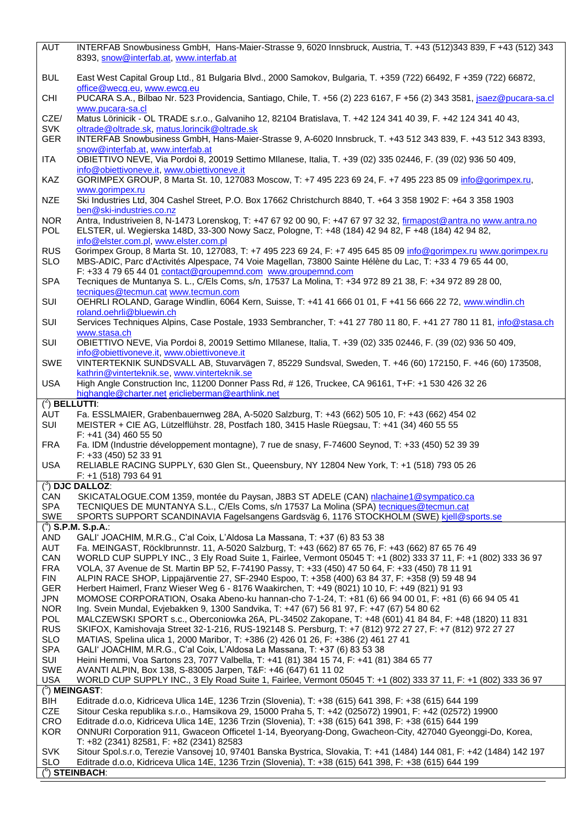| AUT                      | INTERFAB Snowbusiness GmbH, Hans-Maier-Strasse 9, 6020 Innsbruck, Austria, T. +43 (512)343 839, F +43 (512) 343<br>8393, snow@interfab.at, www.interfab.at                                                                     |
|--------------------------|--------------------------------------------------------------------------------------------------------------------------------------------------------------------------------------------------------------------------------|
| <b>BUL</b>               | East West Capital Group Ltd., 81 Bulgaria Blvd., 2000 Samokov, Bulgaria, T. +359 (722) 66492, F +359 (722) 66872,                                                                                                              |
| <b>CHI</b>               | office@wecg.eu, www.ewcg.eu<br>PUCARA S.A., Bilbao Nr. 523 Providencia, Santiago, Chile, T. +56 (2) 223 6167, F +56 (2) 343 3581, jsaez@pucara-sa.cl                                                                           |
| CZE/                     | www.pucara-sa.cl<br>Matus Lörinicik - OL TRADE s.r.o., Galvaniho 12, 82104 Bratislava, T. +42 124 341 40 39, F. +42 124 341 40 43,                                                                                             |
| <b>SVK</b><br><b>GER</b> | oltrade@oltrade.sk, matus.lorincik@oltrade.sk<br>INTERFAB Snowbusiness GmbH, Hans-Maier-Strasse 9, A-6020 Innsbruck, T. +43 512 343 839, F. +43 512 343 8393,                                                                  |
| ITA                      | snow@interfab.at, www.interfab.at<br>OBIETTIVO NEVE, Via Pordoi 8, 20019 Settimo Mllanese, Italia, T. +39 (02) 335 02446, F. (39 (02) 936 50 409,                                                                              |
| KAZ                      | info@obiettivoneve.it, www.obiettivoneve.it<br>GORIMPEX GROUP, 8 Marta St. 10, 127083 Moscow, T: +7 495 223 69 24, F. +7 495 223 85 09 info@gorimpex.ru,                                                                       |
| <b>NZE</b>               | www.gorimpex.ru<br>Ski Industries Ltd, 304 Cashel Street, P.O. Box 17662 Christchurch 8840, T. +64 3 358 1902 F: +64 3 358 1903                                                                                                |
| <b>NOR</b>               | ben@ski-industries.co.nz<br>Antra, Industriveien 8, N-1473 Lorenskog, T: +47 67 92 00 90, F: +47 67 97 32 32, firmapost@antra.no www.antra.no                                                                                  |
| POL                      | ELSTER, ul. Wegierska 148D, 33-300 Nowy Sacz, Pologne, T: +48 (184) 42 94 82, F +48 (184) 42 94 82,<br>info@elster.com.pl, www.elster.com.pl                                                                                   |
| <b>RUS</b><br><b>SLO</b> | Gorimpex Group, 8 Marta St. 10, 127083, T: +7 495 223 69 24, F: +7 495 645 85 09 info@gorimpex.ru www.gorimpex.ru<br>MBS-ADIC, Parc d'Activités Alpespace, 74 Voie Magellan, 73800 Sainte Hélène du Lac, T: +33 4 79 65 44 00, |
|                          | F: +33 4 79 65 44 01 contact@groupemnd.com www.groupemnd.com                                                                                                                                                                   |
| <b>SPA</b>               | Tecniques de Muntanya S. L., C/Els Coms, s/n, 17537 La Molina, T: +34 972 89 21 38, F: +34 972 89 28 00,<br>tecniques@tecmun.cat www.tecmun.com                                                                                |
| SUI                      | OEHRLI ROLAND, Garage Windlin, 6064 Kern, Suisse, T: +41 41 666 01 01, F +41 56 666 22 72, www.windlin.ch<br>roland.oehrli@bluewin.ch                                                                                          |
| SUI                      | Services Techniques Alpins, Case Postale, 1933 Sembrancher, T: +41 27 780 11 80, F. +41 27 780 11 81, info@stasa.ch<br>www.stasa.ch                                                                                            |
| SUI                      | OBIETTIVO NEVE, Via Pordoi 8, 20019 Settimo Mllanese, Italia, T. +39 (02) 335 02446, F. (39 (02) 936 50 409,<br>info@obiettivoneve.it, www.obiettivoneve.it                                                                    |
| SWE                      | VINTERTEKNIK SUNDSVALL AB, Stuvarvägen 7, 85229 Sundsval, Sweden, T. +46 (60) 172150, F. +46 (60) 173508,<br>kathrin@vinterteknik.se, www.vinterteknik.se                                                                      |
| <b>USA</b>               | High Angle Construction Inc, 11200 Donner Pass Rd, #126, Truckee, CA 96161, T+F: +1 530 426 32 26<br>highangle@charter.net ericlieberman@earthlink.net                                                                         |
| $(2)$ BELLUTTI:          |                                                                                                                                                                                                                                |
| AUT<br>SUI               | Fa. ESSLMAIER, Grabenbauernweg 28A, A-5020 Salzburg, T: +43 (662) 505 10, F: +43 (662) 454 02<br>MEISTER + CIE AG, Lützelflühstr. 28, Postfach 180, 3415 Hasle Rüegsau, T: +41 (34) 460 55 55                                  |
| <b>FRA</b>               | $F: +41(34)4605550$<br>Fa. IDM (Industrie développement montagne), 7 rue de snasy, F-74600 Seynod, T: +33 (450) 52 39 39                                                                                                       |
| <b>USA</b>               | F: +33 (450) 52 33 91<br>RELIABLE RACING SUPPLY, 630 Glen St., Queensbury, NY 12804 New York, T: +1 (518) 793 05 26                                                                                                            |
|                          | F: +1 (518) 793 64 91                                                                                                                                                                                                          |
|                          | $(3)$ DJC DALLOZ:                                                                                                                                                                                                              |
| CAN<br><b>SPA</b>        | SKICATALOGUE.COM 1359, montée du Paysan, J8B3 ST ADELE (CAN) nlachaine1@sympatico.ca<br>TECNIQUES DE MUNTANYA S.L., C/Els Coms, s/n 17537 La Molina (SPA) tecniques@tecmun.cat                                                 |
| <b>SWE</b>               | SPORTS SUPPORT SCANDINAVIA Fagelsangens Gardsväg 6, 1176 STOCKHOLM (SWE) kjell@sports.se                                                                                                                                       |
|                          | $(^4)$ S.P.M. S.p.A.:                                                                                                                                                                                                          |
| <b>AND</b>               | GALI' JOACHIM, M.R.G., C'al Coix, L'Aldosa La Massana, T: +37 (6) 83 53 38                                                                                                                                                     |
| AUT                      | Fa. MEINGAST, Röcklbrunnstr. 11, A-5020 Salzburg, T: +43 (662) 87 65 76, F: +43 (662) 87 65 76 49                                                                                                                              |
| CAN                      | WORLD CUP SUPPLY INC., 3 Ely Road Suite 1, Fairlee, Vermont 05045 T: +1 (802) 333 37 11, F: +1 (802) 333 36 97                                                                                                                 |
| <b>FRA</b><br><b>FIN</b> | VOLA, 37 Avenue de St. Martin BP 52, F-74190 Passy, T: +33 (450) 47 50 64, F: +33 (450) 78 11 91<br>ALPIN RACE SHOP, Lippajärventie 27, SF-2940 Espoo, T: +358 (400) 63 84 37, F: +358 (9) 59 48 94                            |
| <b>GER</b>               | Herbert Haimerl, Franz Wieser Weg 6 - 8176 Waakirchen, T: +49 (8021) 10 10, F: +49 (821) 91 93                                                                                                                                 |
| <b>JPN</b>               | MOMOSE CORPORATION, Osaka Abeno-ku hannan-cho 7-1-24, T: +81 (6) 66 94 00 01, F: +81 (6) 66 94 05 41                                                                                                                           |
| <b>NOR</b>               | Ing. Svein Mundal, Evjebakken 9, 1300 Sandvika, T: +47 (67) 56 81 97, F: +47 (67) 54 80 62                                                                                                                                     |
| <b>POL</b>               | MALCZEWSKI SPORT s.c., Oberconiowka 26A, PL-34502 Zakopane, T: +48 (601) 41 84 84, F: +48 (1820) 11 831                                                                                                                        |
| <b>RUS</b>               | SKIFOX, Kamishovaja Street 32-1-216, RUS-192148 S. Persburg, T: +7 (812) 972 27 27, F: +7 (812) 972 27 27                                                                                                                      |
| <b>SLO</b>               | MATIAS, Spelina ulica 1, 2000 Maribor, T: +386 (2) 426 01 26, F: +386 (2) 461 27 41                                                                                                                                            |
| <b>SPA</b>               | GALI' JOACHIM, M.R.G., C'al Coix, L'Aldosa La Massana, T: +37 (6) 83 53 38                                                                                                                                                     |
| SUI                      | Heini Hemmi, Voa Sartons 23, 7077 Valbella, T: +41 (81) 384 15 74, F: +41 (81) 384 65 77                                                                                                                                       |
| <b>SWE</b><br><b>USA</b> | AVANTI ALPIN, Box 138, S-83005 Jarpen, T&F: +46 (647) 61 11 02<br>WORLD CUP SUPPLY INC., 3 Ely Road Suite 1, Fairlee, Vermont 05045 T: +1 (802) 333 37 11, F: +1 (802) 333 36 97                                               |
|                          | $(°)$ MEINGAST:                                                                                                                                                                                                                |
| BIH                      | Editrade d.o.o, Kidriceva Ulica 14E, 1236 Trzin (Slovenia), T: +38 (615) 641 398, F: +38 (615) 644 199                                                                                                                         |
| <b>CZE</b>               | Sitour Ceska republika s.r.o., Hamsikova 29, 15000 Praha 5, T: +42 (025ö72) 19901, F: +42 (02572) 19900                                                                                                                        |
| <b>CRO</b>               | Editrade d.o.o, Kidriceva Ulica 14E, 1236 Trzin (Slovenia), T: +38 (615) 641 398, F: +38 (615) 644 199                                                                                                                         |
| <b>KOR</b>               | ONNURI Corporation 911, Gwaceon Officetel 1-14, Byeoryang-Dong, Gwacheon-City, 427040 Gyeonggi-Do, Korea,                                                                                                                      |
|                          | T: +82 (2341) 82581, F: +82 (2341) 82583                                                                                                                                                                                       |
| <b>SVK</b>               | Sitour Spol.s.r.o, Terezie Vansovej 10, 97401 Banska Bystrica, Slovakia, T: +41 (1484) 144 081, F: +42 (1484) 142 197                                                                                                          |
| <b>SLO</b>               | Editrade d.o.o, Kidriceva Ulica 14E, 1236 Trzin (Slovenia), T: +38 (615) 641 398, F: +38 (615) 644 199                                                                                                                         |
|                          | $(5)$ STEINBACH:                                                                                                                                                                                                               |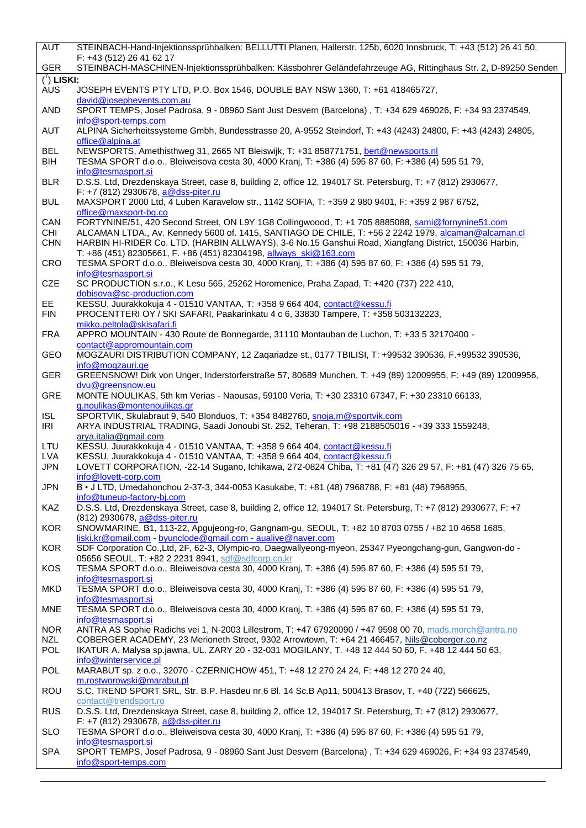| <b>AUT</b>                   | STEINBACH-Hand-Injektionssprühbalken: BELLUTTI Planen, Hallerstr. 125b, 6020 Innsbruck, T: +43 (512) 26 41 50,                                                                                                  |
|------------------------------|-----------------------------------------------------------------------------------------------------------------------------------------------------------------------------------------------------------------|
| <b>GER</b>                   | F: +43 (512) 26 41 62 17<br>STEINBACH-MASCHINEN-Injektionssprühbalken: Kässbohrer Geländefahrzeuge AG, Rittinghaus Str. 2, D-89250 Senden                                                                       |
|                              |                                                                                                                                                                                                                 |
| $\binom{7}{1}$ LISKI:<br>AUS | JOSEPH EVENTS PTY LTD, P.O. Box 1546, DOUBLE BAY NSW 1360, T: +61 418465727,                                                                                                                                    |
| <b>AND</b>                   | david@josephevents.com.au<br>SPORT TEMPS, Josef Padrosa, 9 - 08960 Sant Just Desvern (Barcelona), T: +34 629 469026, F: +34 93 2374549,                                                                         |
| <b>AUT</b>                   | info@sport-temps.com<br>ALPINA Sicherheitssysteme Gmbh, Bundesstrasse 20, A-9552 Steindorf, T: +43 (4243) 24800, F: +43 (4243) 24805,<br>office@alpina.at                                                       |
| <b>BEL</b><br>BIH            | NEWSPORTS, Amethisthweg 31, 2665 NT Bleiswijk, T: +31 858771751, bert@newsports.nl<br>TESMA SPORT d.o.o., Bleiweisova cesta 30, 4000 Kranj, T: +386 (4) 595 87 60, F: +386 (4) 595 51 79,<br>info@tesmasport.si |
| <b>BLR</b>                   | D.S.S. Ltd, Drezdenskaya Street, case 8, building 2, office 12, 194017 St. Petersburg, T: +7 (812) 2930677,<br>F: +7 (812) 2930678, a@dss-piter.ru                                                              |
| <b>BUL</b>                   | MAXSPORT 2000 Ltd, 4 Luben Karavelow str., 1142 SOFIA, T: +359 2 980 9401, F: +359 2 987 6752,<br>office@maxsport-bg.co                                                                                         |
| CAN                          | FORTYNINE/51, 420 Second Street, ON L9Y 1G8 Collingwoood, T: +1 705 8885088, sami@fornynine51.com                                                                                                               |
| <b>CHI</b>                   | ALCAMAN LTDA., Av. Kennedy 5600 of. 1415, SANTIAGO DE CHILE, T: +56 2 2242 1979, alcaman@alcaman.cl                                                                                                             |
| <b>CHN</b>                   | HARBIN HI-RIDER Co. LTD. (HARBIN ALLWAYS), 3-6 No.15 Ganshui Road, Xiangfang District, 150036 Harbin,<br>T: +86 (451) 82305661, F. +86 (451) 82304198, allways ski@163.com                                      |
| CRO                          | TESMA SPORT d.o.o., Bleiweisova cesta 30, 4000 Kranj, T: +386 (4) 595 87 60, F: +386 (4) 595 51 79,<br>info@tesmasport.si                                                                                       |
| <b>CZE</b>                   | SC PRODUCTION s.r.o., K Lesu 565, 25262 Horomenice, Praha Zapad, T: +420 (737) 222 410,<br>dobisova@sc-production.com                                                                                           |
| EE.<br><b>FIN</b>            | KESSU, Juurakkokuja 4 - 01510 VANTAA, T: +358 9 664 404, contact@kessu.fi<br>PROCENTTERI OY / SKI SAFARI, Paakarinkatu 4 c 6, 33830 Tampere, T: +358 503132223,<br>mikko.peltola@skisafari.fi                   |
| <b>FRA</b>                   | APPRO MOUNTAIN - 430 Route de Bonnegarde, 31110 Montauban de Luchon, T: +33 5 32170400 -<br>contact@appromountain.com                                                                                           |
| GEO                          | MOGZAURI DISTRIBUTION COMPANY, 12 Zaqariadze st., 0177 TBILISI, T: +99532 390536, F.+99532 390536,<br>info@mogzauri.ge                                                                                          |
| <b>GER</b>                   | GREENSNOW! Dirk von Unger, Inderstorferstraße 57, 80689 Munchen, T: +49 (89) 12009955, F: +49 (89) 12009956,<br>dvu@greensnow.eu                                                                                |
| GRE                          | MONTE NOULIKAS, 5th km Verias - Naousas, 59100 Veria, T: +30 23310 67347, F: +30 23310 66133,<br>g.noulikas@montenoulikas.gr                                                                                    |
| <b>ISL</b><br>IRI            | SPORTVIK, Skulabraut 9, 540 Blonduos, T: +354 8482760, snoja.m@sportvik.com<br>ARYA INDUSTRIAL TRADING, Saadi Jonoubi St. 252, Teheran, T: +98 2188505016 - +39 333 1559248,<br>arya.italia@gmail.com           |
| LTU                          | KESSU, Juurakkokuja 4 - 01510 VANTAA, T: +358 9 664 404, contact@kessu.fi                                                                                                                                       |
| <b>LVA</b>                   | KESSU, Juurakkokuja 4 - 01510 VANTAA, T: +358 9 664 404, contact@kessu.fi                                                                                                                                       |
| <b>JPN</b>                   | LOVETT CORPORATION, -22-14 Sugano, Ichikawa, 272-0824 Chiba, T: +81 (47) 326 29 57, F: +81 (47) 326 75 65,<br>info@lovett-corp.com                                                                              |
| <b>JPN</b>                   | B • J LTD, Umedahonchou 2-37-3, 344-0053 Kasukabe, T: +81 (48) 7968788, F: +81 (48) 7968955,<br>info@tuneup-factory-bj.com                                                                                      |
| <b>KAZ</b>                   | D.S.S. Ltd, Drezdenskaya Street, case 8, building 2, office 12, 194017 St. Petersburg, T: +7 (812) 2930677, F: +7<br>(812) 2930678, a@dss-piter.ru                                                              |
| <b>KOR</b>                   | SNOWMARINE, B1, 113-22, Apgujeong-ro, Gangnam-gu, SEOUL, T: +82 10 8703 0755 / +82 10 4658 1685,<br>liski.kr@gmail.com - byunclode@gmail.com - aualive@naver.com                                                |
| <b>KOR</b>                   | SDF Corporation Co., Ltd, 2F, 62-3, Olympic-ro, Daegwallyeong-myeon, 25347 Pyeongchang-gun, Gangwon-do -<br>05656 SEOUL, T: +82 2 2231 8941, sdf@sdfcorp.co.kr                                                  |
| <b>KOS</b>                   | TESMA SPORT d.o.o., Bleiweisova cesta 30, 4000 Kranj, T: +386 (4) 595 87 60, F: +386 (4) 595 51 79,<br>info@tesmasport.si                                                                                       |
| <b>MKD</b>                   | TESMA SPORT d.o.o., Bleiweisova cesta 30, 4000 Kranj, T: +386 (4) 595 87 60, F: +386 (4) 595 51 79,<br>info@tesmasport.si                                                                                       |
| <b>MNE</b>                   | TESMA SPORT d.o.o., Bleiweisova cesta 30, 4000 Kranj, T: +386 (4) 595 87 60, F: +386 (4) 595 51 79,<br>info@tesmasport.si                                                                                       |
| <b>NOR</b>                   | ANTRA AS Sophie Radichs vei 1, N-2003 Lillestrom, T: +47 67920090 / +47 9598 00 70, mads.morch@antra.no                                                                                                         |
| <b>NZL</b>                   | COBERGER ACADEMY, 23 Merioneth Street, 9302 Arrowtown, T: +64 21 466457, Nils@coberger.co.nz                                                                                                                    |
| POL                          | IKATUR A. Malysa sp.jawna, UL. ZARY 20 - 32-031 MOGILANY, T. +48 12 444 50 60, F. +48 12 444 50 63,                                                                                                             |
| POL                          | info@winterservice.pl<br>MARABUT sp. z o.o., 32070 - CZERNICHOW 451, T: +48 12 270 24 24, F: +48 12 270 24 40,                                                                                                  |
| <b>ROU</b>                   | m.rostworowski@marabut.pl<br>S.C. TREND SPORT SRL, Str. B.P. Hasdeu nr.6 Bl. 14 Sc.B Ap11, 500413 Brasov, T. +40 (722) 566625,                                                                                  |
| <b>RUS</b>                   | contact@trendsport.ro<br>D.S.S. Ltd, Drezdenskaya Street, case 8, building 2, office 12, 194017 St. Petersburg, T: +7 (812) 2930677,<br>F: +7 (812) 2930678, a@dss-piter.ru                                     |
| <b>SLO</b>                   | TESMA SPORT d.o.o., Bleiweisova cesta 30, 4000 Kranj, T: +386 (4) 595 87 60, F: +386 (4) 595 51 79,                                                                                                             |
| <b>SPA</b>                   | info@tesmasport.si<br>SPORT TEMPS, Josef Padrosa, 9 - 08960 Sant Just Desvern (Barcelona), T: +34 629 469026, F: +34 93 2374549,<br>info@sport-temps.com                                                        |